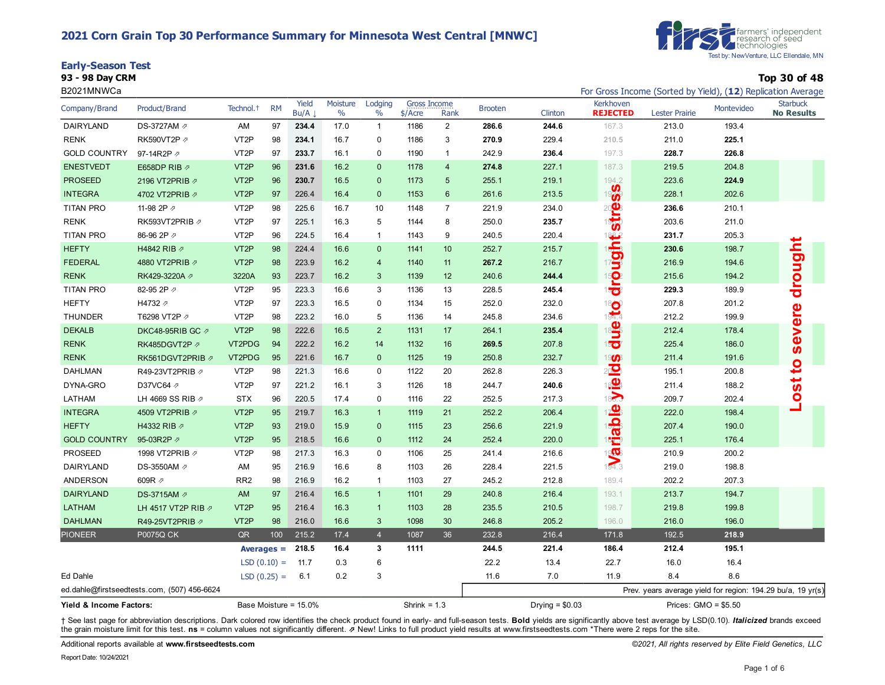## **2021 Corn Grain Top 30 Performance Summary for Minnesota West Central [MNWC]**



#### **Early-Season Test**

**93 - 98 Day CRM Top 30 of 48**

| B2021MNWCa              |                                             |                       |           |                       |                  |                 |                                  |                 |                |                  |                                        | For Gross Income (Sorted by Yield), (12) Replication Average |            |                                      |
|-------------------------|---------------------------------------------|-----------------------|-----------|-----------------------|------------------|-----------------|----------------------------------|-----------------|----------------|------------------|----------------------------------------|--------------------------------------------------------------|------------|--------------------------------------|
| Company/Brand           | Product/Brand                               | Technol. <sup>+</sup> | <b>RM</b> | Yield<br>Bu/A         | Moisture<br>$\%$ | Lodging<br>$\%$ | <b>Gross Income</b><br>$$/$ Acre | Rank            | <b>Brooten</b> | Clinton          | Kerkhoven<br><b>REJECTED</b>           | <b>Lester Prairie</b>                                        | Montevideo | <b>Starbuck</b><br><b>No Results</b> |
| DAIRYLAND               | DS-3727AM ⊉                                 | AM                    | 97        | 234.4                 | 17.0             | $\mathbf{1}$    | 1186                             | $\overline{2}$  | 286.6          | 244.6            | 167.3                                  | 213.0                                                        | 193.4      |                                      |
| RENK                    | RK590VT2P 2                                 | VT <sub>2</sub> P     | 98        | 234.1                 | 16.7             | 0               | 1186                             | 3               | 270.9          | 229.4            | 210.5                                  | 211.0                                                        | 225.1      |                                      |
| <b>GOLD COUNTRY</b>     | 97-14R2P 2                                  | VT <sub>2</sub> P     | 97        | 233.7                 | 16.1             | $\mathbf 0$     | 1190                             | $\mathbf{1}$    | 242.9          | 236.4            | 197.3                                  | 228.7                                                        | 226.8      |                                      |
| <b>ENESTVEDT</b>        | E658DP RIB 2                                | VT <sub>2</sub> P     | 96        | 231.6                 | 16.2             | $\mathbf{0}$    | 1178                             | $\overline{4}$  | 274.8          | 227.1            | 187.3                                  | 219.5                                                        | 204.8      |                                      |
| <b>PROSEED</b>          | 2196 VT2PRIB 2                              | VT <sub>2</sub> P     | 96        | 230.7                 | 16.5             | $\mathbf 0$     | 1173                             | $5\overline{)}$ | 255.1          | 219.1            | 194.2                                  | 223.6                                                        | 224.9      |                                      |
| <b>INTEGRA</b>          | 4702 VT2PRIB 2                              | VT <sub>2</sub> P     | 97        | 226.4                 | 16.4             | $\mathbf 0$     | 1153                             | $\,6\,$         | 261.6          | 213.5            | ැ%                                     | 228.1                                                        | 202.6      |                                      |
| <b>TITAN PRO</b>        | 11-98 2P 2                                  | VT <sub>2</sub> P     | 98        | 225.6                 | 16.7             | 10              | 1148                             | $\overline{7}$  | 221.9          | 234.0            | action                                 | 236.6                                                        | 210.1      |                                      |
| <b>RENK</b>             | RK593VT2PRIB 2                              | VT <sub>2</sub> P     | 97        | 225.1                 | 16.3             | 5               | 1144                             | 8               | 250.0          | 235.7            |                                        | 203.6                                                        | 211.0      |                                      |
| <b>TITAN PRO</b>        | 86-96 2P 2                                  | VT <sub>2</sub> P     | 96        | 224.5                 | 16.4             | $\mathbf{1}$    | 1143                             | 9               | 240.5          | 220.4            |                                        | 231.7                                                        | 205.3      |                                      |
| <b>HEFTY</b>            | H4842 RIB 2                                 | VT <sub>2</sub> P     | 98        | 224.4                 | 16.6             | $\mathbf 0$     | 1141                             | 10              | 252.7          | 215.7            | uight:                                 | 230.6                                                        | 198.7      | drought                              |
| <b>FEDERAL</b>          | 4880 VT2PRIB 2                              | VT <sub>2</sub> P     | 98        | 223.9                 | 16.2             | $\overline{4}$  | 1140                             | 11              | 267.2          | 216.7            |                                        | 216.9                                                        | 194.6      |                                      |
| <b>RENK</b>             | RK429-3220A 2                               | 3220A                 | 93        | 223.7                 | 16.2             | 3               | 1139                             | 12              | 240.6          | 244.4            | 15 <mark>0</mark><br>15 <mark>0</mark> | 215.6                                                        | 194.2      |                                      |
| TITAN PRO               | 82-95 2P 2                                  | VT <sub>2</sub> P     | 95        | 223.3                 | 16.6             | 3               | 1136                             | 13              | 228.5          | 245.4            |                                        | 229.3                                                        | 189.9      |                                      |
| <b>HEFTY</b>            | H4732 A                                     | VT <sub>2</sub> P     | 97        | 223.3                 | 16.5             | 0               | 1134                             | 15              | 252.0          | 232.0            | $\frac{18}{194.4}$                     | 207.8                                                        | 201.2      |                                      |
| <b>THUNDER</b>          | T6298 VT2P 2                                | VT <sub>2</sub> P     | 98        | 223.2                 | 16.0             | 5               | 1136                             | 14              | 245.8          | 234.6            |                                        | 212.2                                                        | 199.9      | severe                               |
| <b>DEKALB</b>           | DKC48-95RIB GC 2                            | VT <sub>2</sub> P     | 98        | 222.6                 | 16.5             | $\overline{2}$  | 1131                             | 17              | 264.1          | 235.4            | 18 <mark>9</mark>                      | 212.4                                                        | 178.4      |                                      |
| <b>RENK</b>             | RK485DGVT2P                                 | VT2PDG                | 94        | 222.2                 | 16.2             | 14              | 1132                             | 16              | 269.5          | 207.8            | 15 <mark>07</mark>                     | 225.4                                                        | 186.0      |                                      |
| <b>RENK</b>             | RK561DGVT2PRIB 2                            | VT2PDG                | 95        | 221.6                 | 16.7             | $\mathbf{0}$    | 1125                             | 19              | 250.8          | 232.7            | 19 <b>00</b>                           | 211.4                                                        | 191.6      |                                      |
| <b>DAHLMAN</b>          | R49-23VT2PRIB 2                             | VT <sub>2</sub> P     | 98        | 221.3                 | 16.6             | $\mathbf 0$     | 1122                             | 20              | 262.8          | 226.3            | 20                                     | 195.1                                                        | 200.8      | <u>o</u>                             |
| DYNA-GRO                | D37VC64 2                                   | VT <sub>2</sub> P     | 97        | 221.2                 | 16.1             | 3               | 1126                             | 18              | 244.7          | 240.6            | $\frac{1}{18}$                         | 211.4                                                        | 188.2      | $rac{1}{2}$                          |
| LATHAM                  | LH 4669 SS RIB 2                            | <b>STX</b>            | 96        | 220.5                 | 17.4             | 0               | 1116                             | 22              | 252.5          | 217.3            |                                        | 209.7                                                        | 202.4      |                                      |
| <b>INTEGRA</b>          | 4509 VT2PRIB 2                              | VT <sub>2</sub> P     | 95        | 219.7                 | 16.3             | $\mathbf{1}$    | 1119                             | 21              | 252.2          | 206.4            |                                        | 222.0                                                        | 198.4      |                                      |
| <b>HEFTY</b>            | H4332 RIB 2                                 | VT <sub>2</sub> P     | 93        | 219.0                 | 15.9             | $\mathbf 0$     | 1115                             | 23              | 256.6          | 221.9            |                                        | 207.4                                                        | 190.0      |                                      |
| <b>GOLD COUNTRY</b>     | 95-03R2P                                    | VT <sub>2</sub> P     | 95        | 218.5                 | 16.6             | $\mathbf 0$     | 1112                             | 24              | 252.4          | 220.0            | dable                                  | 225.1                                                        | 176.4      |                                      |
| <b>PROSEED</b>          | 1998 VT2PRIB 2                              | VT <sub>2</sub> P     | 98        | 217.3                 | 16.3             | 0               | 1106                             | 25              | 241.4          | 216.6            | 1943                                   | 210.9                                                        | 200.2      |                                      |
| DAIRYLAND               | DS-3550AM の                                 | AM                    | 95        | 216.9                 | 16.6             | 8               | 1103                             | 26              | 228.4          | 221.5            |                                        | 219.0                                                        | 198.8      |                                      |
| ANDERSON                | 609R 2                                      | RR <sub>2</sub>       | 98        | 216.9                 | 16.2             | $\overline{1}$  | 1103                             | 27              | 245.2          | 212.8            | 189.4                                  | 202.2                                                        | 207.3      |                                      |
| <b>DAIRYLAND</b>        | DS-3715AM Ø                                 | AM                    | 97        | 216.4                 | 16.5             | $\mathbf{1}$    | 1101                             | 29              | 240.8          | 216.4            | 193.1                                  | 213.7                                                        | 194.7      |                                      |
| <b>LATHAM</b>           | LH 4517 VT2P RIB 2                          | VT <sub>2</sub> P     | 95        | 216.4                 | 16.3             | $\mathbf{1}$    | 1103                             | 28              | 235.5          | 210.5            | 198.7                                  | 219.8                                                        | 199.8      |                                      |
| <b>DAHLMAN</b>          | R49-25VT2PRIB 2                             | VT <sub>2</sub> P     | 98        | 216.0                 | 16.6             | 3               | 1098                             | 30              | 246.8          | 205.2            | 196.0                                  | 216.0                                                        | 196.0      |                                      |
| <b>PIONEER</b>          | P0075Q CK                                   | QR                    | 100       | 215.2                 | 17.4             | $\overline{4}$  | 1087                             | 36              | 232.8          | 216.4            | 171.8                                  | 192.5                                                        | 218.9      |                                      |
|                         |                                             | Averages $=$          |           | 218.5                 | 16.4             | 3               | 1111                             |                 | 244.5          | 221.4            | 186.4                                  | 212.4                                                        | 195.1      |                                      |
|                         |                                             | $LSD(0.10) =$         |           | 11.7                  | 0.3              | 6               |                                  |                 | 22.2           | 13.4             | 22.7                                   | 16.0                                                         | 16.4       |                                      |
| Ed Dahle                |                                             | $LSD(0.25) =$         |           | 6.1                   | 0.2              | 3               |                                  |                 | 11.6           | 7.0              | 11.9                                   | 8.4                                                          | 8.6        |                                      |
|                         | ed.dahle@firstseedtests.com, (507) 456-6624 |                       |           |                       |                  |                 |                                  |                 |                |                  |                                        | Prev. years average yield for region: 194.29 bu/a, 19 yr(s)  |            |                                      |
| Yield & Income Factors: |                                             |                       |           | Base Moisture = 15.0% |                  |                 | Shrink = $1.3$                   |                 |                | Drying = $$0.03$ |                                        | Prices: $GMO = $5.50$                                        |            |                                      |

+ See last page for abbreviation descriptions. Dark colored row identifies the check product found in early- and full-season tests. Bold yields are significantly above test average by LSD(0.10). Italicized brands exceed the grain moisture limit for this test. **ns** = column values not significantly different. ⇗ New! Links to full product yield results at www.firstseedtests.com \*There were 2 reps for the site.

Additional reports available at **[www.firstseedtests.com](https://www.firstseedtests.com)** *©2021, All rights reserved by Elite Field Genetics, LLC*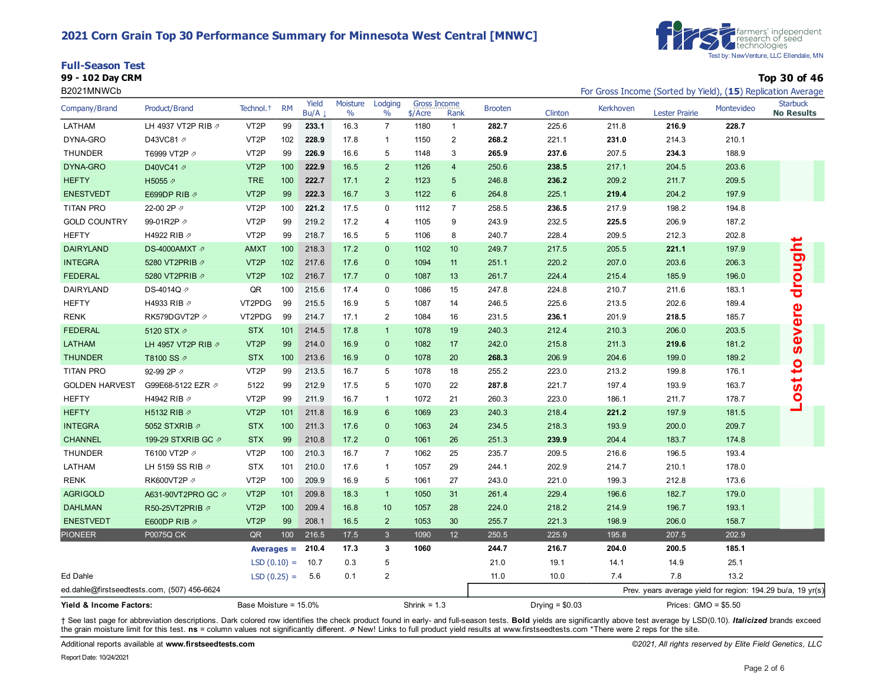## **2021 Corn Grain Top 30 Performance Summary for Minnesota West Central [MNWC]**



**99 - 102 Day CRM Top 30 of 46**

#### B2021MNWCb **For Gross Income (Sorted by Yield), (15**) Replication Average



| Company/Brand                      | Product/Brand                               | Technol. <sup>+</sup> | <b>RM</b>     | Yield<br>Bu/A      | Moisture<br>$\frac{0}{0}$ | Lodging<br>$\%$ | <b>Gross Income</b><br>$$/$ Acre | Rank            | <b>Brooten</b> | Clinton          | Kerkhoven | <b>Lester Prairie</b>                                       | Montevideo | <b>Starbuck</b><br><b>No Results</b> |
|------------------------------------|---------------------------------------------|-----------------------|---------------|--------------------|---------------------------|-----------------|----------------------------------|-----------------|----------------|------------------|-----------|-------------------------------------------------------------|------------|--------------------------------------|
| LATHAM                             | LH 4937 VT2P RIB 2                          | VT <sub>2</sub> P     | 99            | 233.1              | 16.3                      | $\overline{7}$  | 1180                             | $\mathbf{1}$    | 282.7          | 225.6            | 211.8     | 216.9                                                       | 228.7      |                                      |
| DYNA-GRO                           | D43VC81 2                                   | VT <sub>2</sub> P     | 102           | 228.9              | 17.8                      | $\mathbf{1}$    | 1150                             | $\overline{2}$  | 268.2          | 221.1            | 231.0     | 214.3                                                       | 210.1      |                                      |
| <b>THUNDER</b>                     | T6999 VT2P 2                                | VT <sub>2</sub> P     | 99            | 226.9              | 16.6                      | 5               | 1148                             | 3               | 265.9          | 237.6            | 207.5     | 234.3                                                       | 188.9      |                                      |
| DYNA-GRO                           | D40VC41 2                                   | VT <sub>2</sub> P     | 100           | 222.9              | 16.5                      | 2               | 1126                             | $\overline{4}$  | 250.6          | 238.5            | 217.1     | 204.5                                                       | 203.6      |                                      |
| <b>HEFTY</b>                       | H5055 2                                     | <b>TRE</b>            | 100           | 222.7              | 17.1                      | 2               | 1123                             | $5\phantom{.0}$ | 246.8          | 236.2            | 209.2     | 211.7                                                       | 209.5      |                                      |
| <b>ENESTVEDT</b>                   | E699DP RIB 2                                | VT <sub>2</sub> P     | 99            | 222.3              | 16.7                      | $\mathbf{3}$    | 1122                             | $\,6\,$         | 264.8          | 225.1            | 219.4     | 204.2                                                       | 197.9      |                                      |
| <b>TITAN PRO</b>                   | 22-00 2P 2                                  | VT <sub>2</sub> P     | 100           | 221.2              | 17.5                      | $\mathbf 0$     | 1112                             | $\overline{7}$  | 258.5          | 236.5            | 217.9     | 198.2                                                       | 194.8      |                                      |
| <b>GOLD COUNTRY</b>                | 99-01R2P 2                                  | VT <sub>2</sub> P     | 99            | 219.2              | 17.2                      | $\overline{4}$  | 1105                             | 9               | 243.9          | 232.5            | 225.5     | 206.9                                                       | 187.2      |                                      |
| <b>HEFTY</b>                       | H4922 RIB 2                                 | VT <sub>2</sub> P     | 99            | 218.7              | 16.5                      | 5               | 1106                             | 8               | 240.7          | 228.4            | 209.5     | 212.3                                                       | 202.8      |                                      |
| <b>DAIRYLAND</b>                   | DS-4000AMXT 2                               | <b>AMXT</b>           | 100           | 218.3              | 17.2                      | $\mathbf{0}$    | 1102                             | 10              | 249.7          | 217.5            | 205.5     | 221.1                                                       | 197.9      | drought                              |
| <b>INTEGRA</b>                     | 5280 VT2PRIB 2                              | VT <sub>2</sub> P     | 102           | 217.6              | 17.6                      | $\mathbf{0}$    | 1094                             | 11              | 251.1          | 220.2            | 207.0     | 203.6                                                       | 206.3      |                                      |
| <b>FEDERAL</b>                     | 5280 VT2PRIB 2                              | VT <sub>2</sub> P     | 102           | 216.7              | 17.7                      | $\mathbf{0}$    | 1087                             | 13              | 261.7          | 224.4            | 215.4     | 185.9                                                       | 196.0      |                                      |
| DAIRYLAND                          | DS-4014Q 2                                  | QR                    | 100           | 215.6              | 17.4                      | 0               | 1086                             | 15              | 247.8          | 224.8            | 210.7     | 211.6                                                       | 183.1      |                                      |
| <b>HEFTY</b>                       | H4933 RIB 7                                 | VT2PDG                | 99            | 215.5              | 16.9                      | 5               | 1087                             | 14              | 246.5          | 225.6            | 213.5     | 202.6                                                       | 189.4      |                                      |
| <b>RENK</b>                        | RK579DGVT2P                                 | VT2PDG                | 99            | 214.7              | 17.1                      | 2               | 1084                             | 16              | 231.5          | 236.1            | 201.9     | 218.5                                                       | 185.7      |                                      |
| <b>FEDERAL</b>                     | 5120 STX $\varnothing$                      | <b>STX</b>            | 101           | 214.5              | 17.8                      | $\mathbf{1}$    | 1078                             | 19              | 240.3          | 212.4            | 210.3     | 206.0                                                       | 203.5      | evere                                |
| <b>LATHAM</b>                      | LH 4957 VT2P RIB 2                          | VT <sub>2</sub> P     | 99            | 214.0              | 16.9                      | $\mathbf{0}$    | 1082                             | 17              | 242.0          | 215.8            | 211.3     | 219.6                                                       | 181.2      | $\overline{0}$                       |
| <b>THUNDER</b>                     | T8100 SS ⊘                                  | <b>STX</b>            | 100           | 213.6              | 16.9                      | $\mathbf{0}$    | 1078                             | 20              | 268.3          | 206.9            | 204.6     | 199.0                                                       | 189.2      |                                      |
| <b>TITAN PRO</b>                   | 92-99 2P 2                                  | VT <sub>2</sub> P     | 99            | 213.5              | 16.7                      | 5               | 1078                             | 18              | 255.2          | 223.0            | 213.2     | 199.8                                                       | 176.1      | $\overline{c}$                       |
| <b>GOLDEN HARVEST</b>              | G99E68-5122 EZR 2                           | 5122                  | 99            | 212.9              | 17.5                      | 5               | 1070                             | 22              | 287.8          | 221.7            | 197.4     | 193.9                                                       | 163.7      | 5                                    |
| <b>HEFTY</b>                       | H4942 RIB 2                                 | VT <sub>2</sub> P     | 99            | 211.9              | 16.7                      | $\mathbf{1}$    | 1072                             | 21              | 260.3          | 223.0            | 186.1     | 211.7                                                       | 178.7      | Ö                                    |
| <b>HEFTY</b>                       | H5132 RIB 2                                 | VT <sub>2</sub> P     | 101           | 211.8              | 16.9                      | $6\phantom{1}$  | 1069                             | 23              | 240.3          | 218.4            | 221.2     | 197.9                                                       | 181.5      |                                      |
| <b>INTEGRA</b>                     | 5052 STXRIB 2                               | <b>STX</b>            | 100           | 211.3              | 17.6                      | $\mathbf{0}$    | 1063                             | 24              | 234.5          | 218.3            | 193.9     | 200.0                                                       | 209.7      |                                      |
| <b>CHANNEL</b>                     | 199-29 STXRIB GC 2                          | <b>STX</b>            | 99            | 210.8              | 17.2                      | $\mathbf{0}$    | 1061                             | 26              | 251.3          | 239.9            | 204.4     | 183.7                                                       | 174.8      |                                      |
| <b>THUNDER</b>                     | T6100 VT2P 2                                | VT <sub>2</sub> P     | 100           | 210.3              | 16.7                      | $\overline{7}$  | 1062                             | 25              | 235.7          | 209.5            | 216.6     | 196.5                                                       | 193.4      |                                      |
| LATHAM                             | LH 5159 SS RIB 2                            | <b>STX</b>            | 101           | 210.0              | 17.6                      | $\mathbf{1}$    | 1057                             | 29              | 244.1          | 202.9            | 214.7     | 210.1                                                       | 178.0      |                                      |
| <b>RENK</b>                        | RK600VT2P 2                                 | VT <sub>2</sub> P     | 100           | 209.9              | 16.9                      | 5               | 1061                             | 27              | 243.0          | 221.0            | 199.3     | 212.8                                                       | 173.6      |                                      |
| <b>AGRIGOLD</b>                    | A631-90VT2PRO GC ク                          | VT <sub>2</sub> P     | 101           | 209.8              | 18.3                      | $\mathbf{1}$    | 1050                             | 31              | 261.4          | 229.4            | 196.6     | 182.7                                                       | 179.0      |                                      |
| <b>DAHLMAN</b>                     | R50-25VT2PRIB 2                             | VT <sub>2</sub> P     | 100           | 209.4              | 16.8                      | 10              | 1057                             | 28              | 224.0          | 218.2            | 214.9     | 196.7                                                       | 193.1      |                                      |
| <b>ENESTVEDT</b>                   | E600DP RIB 2                                | VT <sub>2</sub> P     | 99            | 208.1              | 16.5                      | $\overline{2}$  | 1053                             | 30              | 255.7          | 221.3            | 198.9     | 206.0                                                       | 158.7      |                                      |
| <b>PIONEER</b>                     | <b>P0075Q CK</b>                            | QR                    | 100           | 216.5              | 17.5                      | $\mathbf{3}$    | 1090                             | 12              | 250.5          | 225.9            | 195.8     | 207.5                                                       | 202.9      |                                      |
|                                    |                                             |                       |               | Averages $= 210.4$ | 17.3                      | 3               | 1060                             |                 | 244.7          | 216.7            | 204.0     | 200.5                                                       | 185.1      |                                      |
|                                    |                                             | $LSD(0.10) =$         |               | 10.7               | 0.3                       | 5               |                                  |                 | 21.0           | 19.1             | 14.1      | 14.9                                                        | 25.1       |                                      |
| Ed Dahle                           |                                             |                       | $LSD(0.25) =$ | 5.6                | 0.1                       | $\overline{2}$  |                                  |                 | 11.0           | 10.0             | 7.4       | 7.8                                                         | 13.2       |                                      |
|                                    | ed.dahle@firstseedtests.com, (507) 456-6624 |                       |               |                    |                           |                 |                                  |                 |                |                  |           | Prev. years average yield for region: 194.29 bu/a, 19 yr(s) |            |                                      |
| <b>Yield &amp; Income Factors:</b> |                                             | Base Moisture = 15.0% |               |                    |                           |                 | Shrink = $1.3$                   |                 |                | Drying = $$0.03$ |           | Prices: $GMO = $5.50$                                       |            |                                      |

+ See last page for abbreviation descriptions. Dark colored row identifies the check product found in early- and full-season tests. Bold yields are significantly above test average by LSD(0.10). Italicized brands exceed the grain moisture limit for this test. **ns** = column values not significantly different. ⇗ New! Links to full product yield results at www.firstseedtests.com \*There were 2 reps for the site.

Additional reports available at **[www.firstseedtests.com](https://www.firstseedtests.com)** *©2021, All rights reserved by Elite Field Genetics, LLC*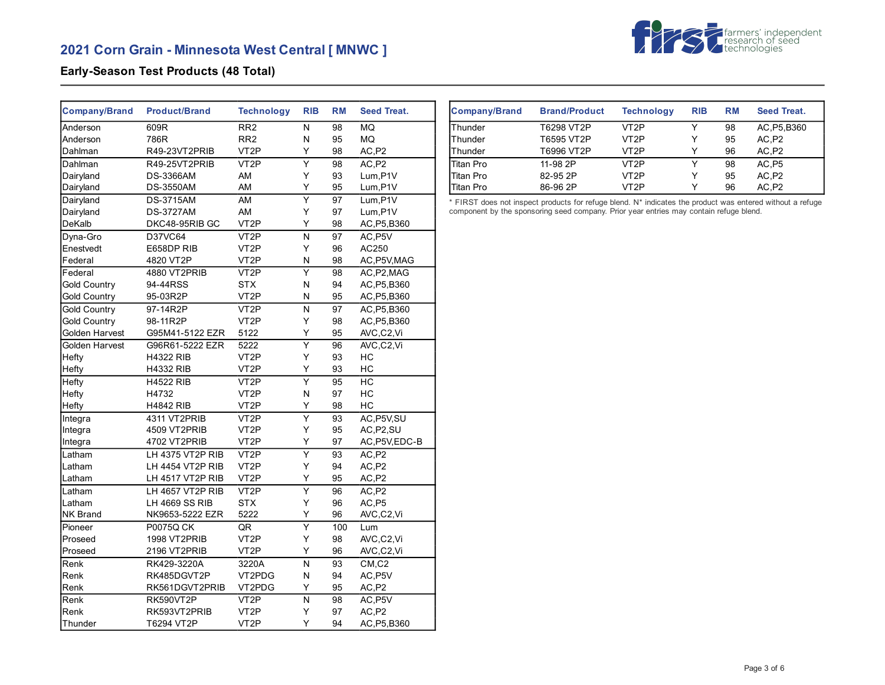# **2021 Corn Grain - Minnesota West Central [ MNWC ]**



## **Early-Season Test Products (48 Total)**

| Company/Brand         | <b>Product/Brand</b> | <b>Technology</b> | <b>RIB</b>              | <b>RM</b> | <b>Seed Treat.</b> |
|-----------------------|----------------------|-------------------|-------------------------|-----------|--------------------|
| Anderson              | 609R                 | RR <sub>2</sub>   | N                       | 98        | <b>MQ</b>          |
| Anderson              | 786R                 | RR <sub>2</sub>   | N                       | 95        | MQ                 |
| Dahlman               | R49-23VT2PRIB        | VT <sub>2</sub> P | Y                       | 98        | AC,P2              |
| Dahlman               | R49-25VT2PRIB        | VT <sub>2</sub> P | $\overline{\mathsf{Y}}$ | 98        | AC,P2              |
| Dairyland             | <b>DS-3366AM</b>     | AM                | Y                       | 93        | Lum, P1V           |
| Dairyland             | <b>DS-3550AM</b>     | AM                | Υ                       | 95        | Lum, P1V           |
| Dairyland             | <b>DS-3715AM</b>     | AM                | $\overline{\mathsf{Y}}$ | 97        | Lum, P1V           |
| Dairyland             | <b>DS-3727AM</b>     | AM                | Υ                       | 97        | Lum, P1V           |
| DeKalb                | DKC48-95RIB GC       | VT <sub>2</sub> P | Y                       | 98        | AC, P5, B360       |
| Dyna-Gro              | D37VC64              | VT <sub>2</sub> P | N                       | 97        | AC, P5V            |
| Enestvedt             | E658DP RIB           | VT <sub>2</sub> P | Y                       | 96        | AC250              |
| Federal               | 4820 VT2P            | VT <sub>2</sub> P | N                       | 98        | AC, P5V, MAG       |
| Federal               | 4880 VT2PRIB         | VT <sub>2</sub> P | $\overline{\mathsf{Y}}$ | 98        | AC, P2, MAG        |
| <b>Gold Country</b>   | 94-44RSS             | <b>STX</b>        | N                       | 94        | AC, P5, B360       |
| <b>Gold Country</b>   | 95-03R2P             | VT <sub>2</sub> P | N                       | 95        | AC, P5, B360       |
| <b>Gold Country</b>   | 97-14R2P             | VT <sub>2</sub> P | N                       | 97        | AC, P5, B360       |
| <b>Gold Country</b>   | 98-11R2P             | VT <sub>2</sub> P | Υ                       | 98        | AC, P5, B360       |
| Golden Harvest        | G95M41-5122 EZR      | 5122              | Υ                       | 95        | AVC,C2,Vi          |
| <b>Golden Harvest</b> | G96R61-5222 EZR      | 5222              | $\overline{\mathsf{Y}}$ | 96        | AVC,C2,Vi          |
| Hefty                 | <b>H4322 RIB</b>     | VT <sub>2</sub> P | Υ                       | 93        | НC                 |
| Hefty                 | <b>H4332 RIB</b>     | VT <sub>2</sub> P | Y                       | 93        | HC                 |
| Hefty                 | <b>H4522 RIB</b>     | VT <sub>2</sub> P | $\overline{\mathsf{Y}}$ | 95        | HC                 |
| Hefty                 | H4732                | VT <sub>2</sub> P | N                       | 97        | HC                 |
| Hefty                 | <b>H4842 RIB</b>     | VT <sub>2</sub> P | Υ                       | 98        | HC                 |
| Integra               | 4311 VT2PRIB         | VT <sub>2</sub> P | $\overline{\mathsf{Y}}$ | 93        | AC, P5V, SU        |
| Integra               | 4509 VT2PRIB         | VT <sub>2</sub> P | Υ                       | 95        | AC, P2, SU         |
| Integra               | 4702 VT2PRIB         | VT <sub>2</sub> P | Y                       | 97        | AC, P5V, EDC-B     |
| Latham                | LH 4375 VT2P RIB     | VT <sub>2</sub> P | $\overline{\mathsf{Y}}$ | 93        | AC, P2             |
| Latham                | LH 4454 VT2P RIB     | VT <sub>2</sub> P | Y                       | 94        | AC,P2              |
| Latham                | LH 4517 VT2P RIB     | VT <sub>2</sub> P | Υ                       | 95        | AC,P2              |
| Latham                | LH 4657 VT2P RIB     | VT <sub>2</sub> P | $\overline{\mathsf{Y}}$ | 96        | AC,P2              |
| Latham                | LH 4669 SS RIB       | <b>STX</b>        | Υ                       | 96        | AC,P5              |
| <b>NK Brand</b>       | NK9653-5222 EZR      | 5222              | Y                       | 96        | AVC,C2,Vi          |
| Pioneer               | <b>P0075Q CK</b>     | QR                | $\overline{Y}$          | 100       | Lum                |
| Proseed               | 1998 VT2PRIB         | VT <sub>2</sub> P | Υ                       | 98        | AVC,C2,Vi          |
| Proseed               | 2196 VT2PRIB         | VT <sub>2</sub> P | Υ                       | 96        | AVC,C2,Vi          |
| Renk                  | RK429-3220A          | 3220A             | N                       | 93        | CM, C2             |
| Renk                  | RK485DGVT2P          | VT2PDG            | N                       | 94        | AC, P5V            |
| Renk                  | RK561DGVT2PRIB       | VT2PDG            | Y                       | 95        | AC,P2              |
| Renk                  | RK590VT2P            | VT <sub>2</sub> P | N                       | 98        | AC, P5V            |
| Renk                  | RK593VT2PRIB         | VT <sub>2</sub> P | Y                       | 97        | AC,P2              |
| Thunder               | T6294 VT2P           | VT <sub>2</sub> P | Y                       | 94        | AC, P5, B360       |

| <b>Company/Brand</b> | <b>Brand/Product</b> | <b>Technology</b> | <b>RIB</b> | <b>RM</b> | <b>Seed Treat.</b> |
|----------------------|----------------------|-------------------|------------|-----------|--------------------|
| Thunder              | T6298 VT2P           | VT <sub>2</sub> P | ∨          | 98        | AC, P5, B360       |
| Thunder              | T6595 VT2P           | VT <sub>2</sub> P | Υ          | 95        | AC.P2              |
| Thunder              | T6996 VT2P           | VT <sub>2</sub> P | Y          | 96        | AC P <sub>2</sub>  |
| <b>Titan Pro</b>     | 11-98 2P             | VT <sub>2</sub> P | ∨          | 98        | AC,P5              |
| <b>Titan Pro</b>     | 82-95 2P             | VT2P              | Υ          | 95        | AC,P2              |
| Titan Pro            | 86-96 2P             | VT2P              | ⋎          | 96        | AC,P2              |

\* FIRST does not inspect products for refuge blend. N\* indicates the product was entered without a refuge component by the sponsoring seed company. Prior year entries may contain refuge blend.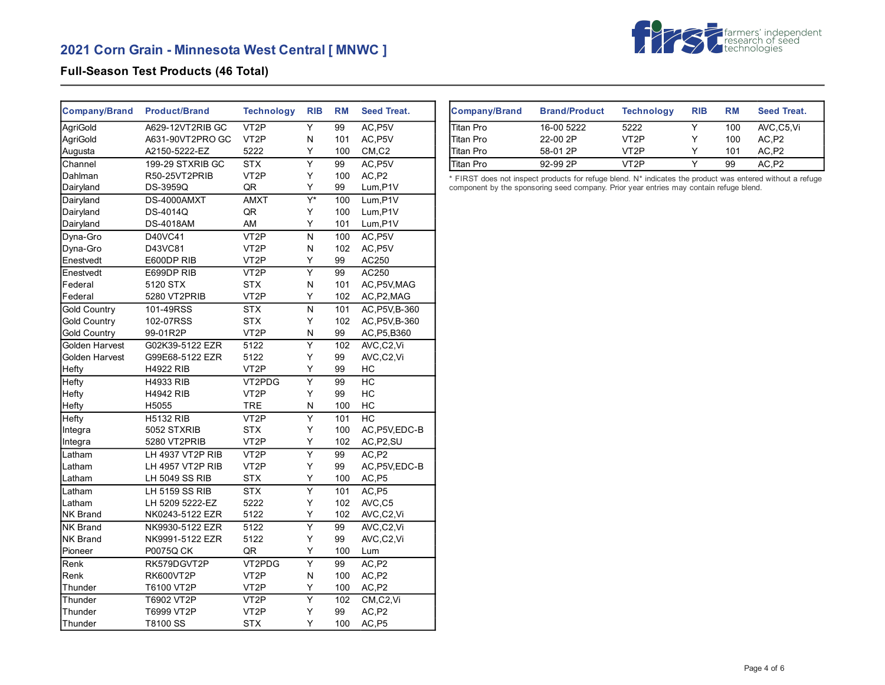# **2021 Corn Grain - Minnesota West Central [ MNWC ]**



## **Full-Season Test Products (46 Total)**

| <b>Company/Brand</b> | <b>Product/Brand</b> | <b>Technology</b> | <b>RIB</b>              | <b>RM</b> | <b>Seed Treat.</b>               |
|----------------------|----------------------|-------------------|-------------------------|-----------|----------------------------------|
| AgriGold             | A629-12VT2RIB GC     | VT <sub>2</sub> P | Y                       | 99        | AC P5V                           |
| AgriGold             | A631-90VT2PRO GC     | VT <sub>2</sub> P | Ν                       | 101       | AC, P5V                          |
| Augusta              | A2150-5222-EZ        | 5222              | Υ                       | 100       | $CM$ <sub>,<math>C2</math></sub> |
| Channel              | 199-29 STXRIB GC     | <b>STX</b>        | $\overline{\mathsf{Y}}$ | 99        | AC, P5V                          |
| Dahlman              | R50-25VT2PRIB        | VT <sub>2</sub> P | Y                       | 100       | AC.P2                            |
| Dairyland            | DS-3959Q             | QR                | Y                       | 99        | Lum, P1V                         |
| Dairyland            | DS-4000AMXT          | <b>AMXT</b>       | Y*                      | 100       | Lum, P1V                         |
| Dairyland            | DS-4014Q             | QR                | Υ                       | 100       | Lum, P1V                         |
| Dairyland            | <b>DS-4018AM</b>     | AM                | Υ                       | 101       | Lum, P1V                         |
| Dyna-Gro             | D40VC41              | VT <sub>2</sub> P | N                       | 100       | AC, P5V                          |
| Dyna-Gro             | D43VC81              | VT <sub>2</sub> P | N                       | 102       | AC, P5V                          |
| Enestvedt            | E600DP RIB           | VT <sub>2</sub> P | Υ                       | 99        | AC250                            |
| Enestvedt            | E699DP RIB           | VT <sub>2</sub> P | $\overline{\mathsf{Y}}$ | 99        | AC250                            |
| Federal              | 5120 STX             | <b>STX</b>        | N                       | 101       | AC, P5V, MAG                     |
| Federal              | 5280 VT2PRIB         | VT <sub>2</sub> P | Y                       | 102       | AC, P2, MAG                      |
| <b>Gold Country</b>  | 101-49RSS            | <b>STX</b>        | N                       | 101       | AC, P5V, B-360                   |
| <b>Gold Country</b>  | 102-07RSS            | <b>STX</b>        | Υ                       | 102       | AC, P5V, B-360                   |
| <b>Gold Country</b>  | 99-01R2P             | VT <sub>2</sub> P | N                       | 99        | AC, P5, B360                     |
| Golden Harvest       | G02K39-5122 EZR      | 5122              | $\overline{\mathsf{Y}}$ | 102       | AVC,C2,Vi                        |
| Golden Harvest       | G99E68-5122 EZR      | 5122              | Υ                       | 99        | AVC,C2,Vi                        |
| Hefty                | <b>H4922 RIB</b>     | VT <sub>2</sub> P | Y                       | 99        | HC                               |
| Hefty                | <b>H4933 RIB</b>     | VT2PDG            | $\overline{\mathsf{Y}}$ | 99        | HC                               |
| Hefty                | <b>H4942 RIB</b>     | VT <sub>2</sub> P | Y                       | 99        | HC                               |
| Hefty                | H5055                | <b>TRE</b>        | N                       | 100       | HC                               |
| Hefty                | <b>H5132 RIB</b>     | VT <sub>2</sub> P | Ÿ                       | 101       | <b>HC</b>                        |
| Integra              | 5052 STXRIB          | <b>STX</b>        | Υ                       | 100       | AC, P5V, EDC-B                   |
| Integra              | 5280 VT2PRIB         | VT <sub>2</sub> P | Y                       | 102       | AC, P2, SU                       |
| Latham               | LH 4937 VT2P RIB     | VT <sub>2</sub> P | $\overline{\mathsf{Y}}$ | 99        | AC,P2                            |
| Latham               | LH 4957 VT2P RIB     | VT <sub>2</sub> P | Y                       | 99        | AC, P5V, EDC-B                   |
| Latham               | LH 5049 SS RIB       | <b>STX</b>        | Υ                       | 100       | AC, P5                           |
| Latham               | LH 5159 SS RIB       | <b>STX</b>        | $\overline{\mathsf{Y}}$ | 101       | AC, P5                           |
| Latham               | LH 5209 5222-EZ      | 5222              | Υ                       | 102       | AVC,C5                           |
| NK Brand             | NK0243-5122 EZR      | 5122              | Υ                       | 102       | AVC,C2,Vi                        |
| NK Brand             | NK9930-5122 EZR      | 5122              | Ÿ                       | 99        | AVC,C2,Vi                        |
| <b>NK Brand</b>      | NK9991-5122 EZR      | 5122              | Υ                       | 99        | AVC,C2,Vi                        |
| Pioneer              | P0075Q CK            | QR                | Υ                       | 100       | Lum                              |
| Renk                 | RK579DGVT2P          | VT2PDG            | $\overline{\mathsf{Y}}$ | 99        | AC, P2                           |
| Renk                 | <b>RK600VT2P</b>     | VT <sub>2</sub> P | N                       | 100       | AC, P2                           |
| Thunder              | T6100 VT2P           | VT <sub>2</sub> P | Υ                       | 100       | AC, P2                           |
| Thunder              | T6902 VT2P           | VT <sub>2</sub> P | Υ                       | 102       | CM,C2,Vi                         |
| Thunder              | T6999 VT2P           | VT <sub>2</sub> P | Υ                       | 99        | AC,P2                            |
| Thunder              | T8100 SS             | <b>STX</b>        | Y                       | 100       | AC,P5                            |

| Company/Brand    | <b>Brand/Product</b> | <b>Technology</b> | <b>RIB</b> | <b>RM</b> | Seed Treat. |
|------------------|----------------------|-------------------|------------|-----------|-------------|
| <b>Titan Pro</b> | 16-00 5222           | 5222              |            | 100       | AVC C5 Vi   |
| Titan Pro        | 22-00 2P             | VT2P              | ∨          | 100       | AC.P2       |
| Titan Pro        | 58-01 2P             | VT2P              |            | 101       | AC.P2       |
| <b>Titan Pro</b> | 92-99 2P             | VT2P              |            | 99        | AC.P2       |

\* FIRST does not inspect products for refuge blend. N\* indicates the product was entered without a refuge component by the sponsoring seed company. Prior year entries may contain refuge blend.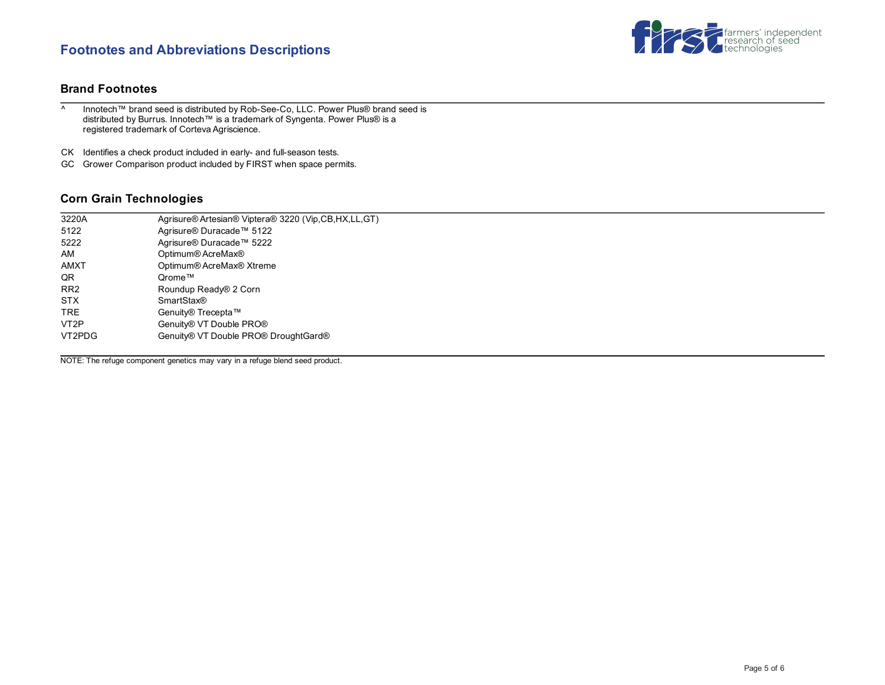## **Footnotes and Abbreviations Descriptions**



## **Brand Footnotes**

- ^ Innotech™ brand seed is distributed by Rob-See-Co, LLC. Power Plus® brand seed is distributed by Burrus. Innotech™ is a trademark of Syngenta. Power Plus® is a registered trademark of Corteva Agriscience.
- CK Identifies a check product included in early- and full-season tests.
- GC Grower Comparison product included by FIRST when space permits.

## **Corn Grain Technologies**

| 3220A             | Agrisure® Artesian® Viptera® 3220 (Vip,CB,HX,LL,GT) |
|-------------------|-----------------------------------------------------|
| 5122              | Agrisure® Duracade™ 5122                            |
| 5222              | Agrisure® Duracade™ 5222                            |
| AM                | Optimum® AcreMax®                                   |
| <b>AMXT</b>       | Optimum® AcreMax® Xtreme                            |
| QR                | Qrome™                                              |
| RR <sub>2</sub>   | Roundup Ready® 2 Corn                               |
| <b>STX</b>        | <b>SmartStax®</b>                                   |
| <b>TRE</b>        | Genuity® Trecepta™                                  |
| VT <sub>2</sub> P | Genuity® VT Double PRO®                             |
| VT2PDG            | Genuity® VT Double PRO® DroughtGard®                |
|                   |                                                     |

NOTE: The refuge component genetics may vary in a refuge blend seed product.